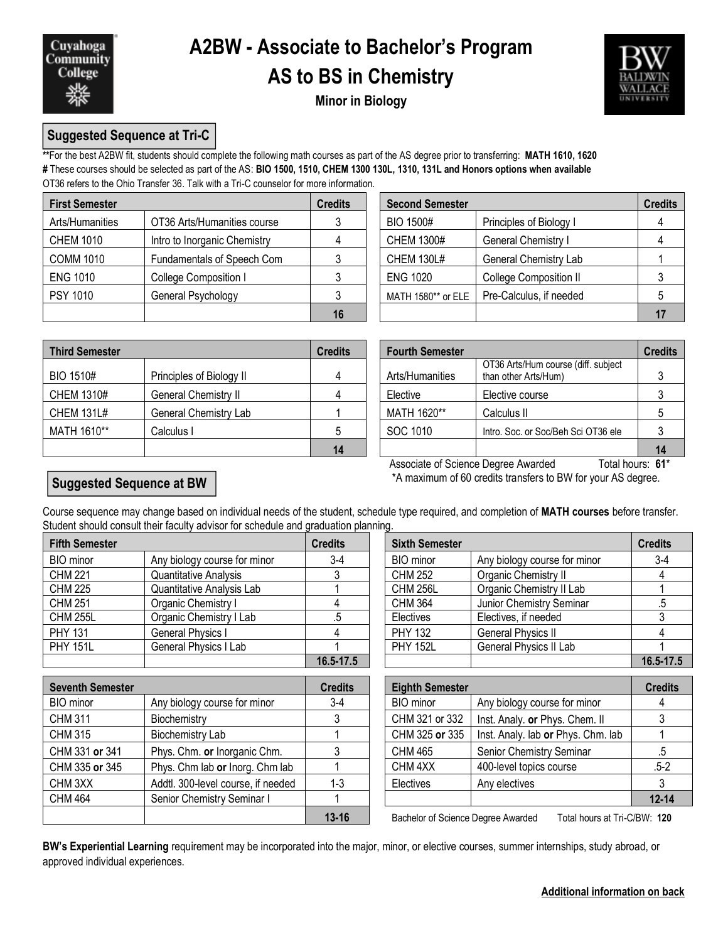

# **A2BW - Associate to Bachelor's Program AS to BS in Chemistry**



**Minor in Biology**

### **Suggested Sequence at Tri-C**

**\*\***For the best A2BW fit, students should complete the following math courses as part of the AS degree prior to transferring: **MATH 1610, 1620 #** These courses should be selected as part of the AS: **BIO 1500, 1510, CHEM 1300 130L, 1310, 131L and Honors options when available** OT36 refers to the Ohio Transfer 36. Talk with a Tri-C counselor for more information.

| <b>First Semester</b> |                              | <b>Credits</b> | <b>Second Semester</b> |                               | <b>Credits</b> |  |
|-----------------------|------------------------------|----------------|------------------------|-------------------------------|----------------|--|
| Arts/Humanities       | OT36 Arts/Humanities course  |                | BIO 1500#              | Principles of Biology I       |                |  |
| <b>CHEM 1010</b>      | Intro to Inorganic Chemistry |                | <b>CHEM 1300#</b>      | <b>General Chemistry I</b>    |                |  |
| <b>COMM 1010</b>      | Fundamentals of Speech Com   |                | <b>CHEM 130L#</b>      | General Chemistry Lab         |                |  |
| <b>ENG 1010</b>       | College Composition I        |                | <b>ENG 1020</b>        | <b>College Composition II</b> |                |  |
| <b>PSY 1010</b>       | General Psychology           |                | MATH 1580** or ELE     | Pre-Calculus, if needed       |                |  |
|                       |                              | 16             |                        |                               |                |  |

| dits           | <b>Second Semester</b> |                         | <b>Credits</b> |
|----------------|------------------------|-------------------------|----------------|
| $\mathbf{3}$   | <b>BIO 1500#</b>       | Principles of Biology I |                |
| $\overline{4}$ | <b>CHEM 1300#</b>      | General Chemistry I     |                |
| 3              | <b>CHEM 130L#</b>      | General Chemistry Lab   |                |
| 3              | <b>ENG 1020</b>        | College Composition II  |                |
| 3              | MATH 1580** or ELE     | Pre-Calculus, if needed |                |
| 16             |                        |                         |                |

| <b>Third Semester</b> |                          | <b>Credits</b> | <b>Fourth Semester</b> |                                                             |  |
|-----------------------|--------------------------|----------------|------------------------|-------------------------------------------------------------|--|
| BIO 1510#             | Principles of Biology II | 4              | Arts/Humanities        | OT36 Arts/Hum course (diff. subject<br>than other Arts/Hum) |  |
| <b>CHEM 1310#</b>     | General Chemistry II     |                | Elective               | Elective course                                             |  |
| <b>CHEM 131L#</b>     | General Chemistry Lab    |                | MATH 1620**            | Calculus II                                                 |  |
| MATH 1610**           | Calculus I               |                | SOC 1010               | Intro, Soc. or Soc/Beh Sci OT36 ele                         |  |
|                       |                          | 14             |                        |                                                             |  |

| dits           | <b>Fourth Semester</b> |                                                             | <b>Credits</b> |
|----------------|------------------------|-------------------------------------------------------------|----------------|
| $\overline{4}$ | Arts/Humanities        | OT36 Arts/Hum course (diff. subject<br>than other Arts/Hum) |                |
| $\overline{4}$ | Elective               | Elective course                                             |                |
|                | MATH 1620**            | Calculus II                                                 |                |
| 5              | SOC 1010               | Intro. Soc. or Soc/Beh Sci OT36 ele                         |                |
| 14             |                        |                                                             |                |

Associate of Science Degree Awarded Total hours: 61\* \*A maximum of 60 credits transfers to BW for your AS degree.

### **Suggested Sequence at BW**

Course sequence may change based on individual needs of the student, schedule type required, and completion of **MATH courses** before transfer. Student should consult their faculty advisor for schedule and graduation planning.

| <b>Fifth Semester</b> |                              | <b>Credits</b> | <b>Sixth Semester</b> |                              | <b>Credits</b> |  |
|-----------------------|------------------------------|----------------|-----------------------|------------------------------|----------------|--|
| <b>BIO</b> minor      | Any biology course for minor | 3-4            | <b>BIO</b> minor      | Any biology course for minor | $3-4$          |  |
| <b>CHM 221</b>        | Quantitative Analysis        |                | CHM 252               | Organic Chemistry II         |                |  |
| <b>CHM 225</b>        | Quantitative Analysis Lab    |                | <b>CHM 256L</b>       | Organic Chemistry II Lab     |                |  |
| <b>CHM 251</b>        | Organic Chemistry I          |                | <b>CHM 364</b>        | Junior Chemistry Seminar     |                |  |
| <b>CHM 255L</b>       | Organic Chemistry I Lab      |                | Electives             | Electives, if needed         |                |  |
| <b>PHY 131</b>        | General Physics I            |                | <b>PHY 132</b>        | General Physics II           |                |  |
| <b>PHY 151L</b>       | General Physics I Lab        |                | <b>PHY 152L</b>       | General Physics II Lab       |                |  |
|                       |                              | 16.5-17.5      |                       |                              | 16.5-17.5      |  |

| <b>Seventh Semester</b> |                                    | <b>Credits</b> | <b>Eighth Semester</b>             |                                    |           |
|-------------------------|------------------------------------|----------------|------------------------------------|------------------------------------|-----------|
| BIO minor               | Any biology course for minor       | $3-4$          | BIO minor                          | Any biology course for minor       |           |
| <b>CHM 311</b>          | Biochemistry                       |                | CHM 321 or 332                     | Inst. Analy. or Phys. Chem. II     |           |
| <b>CHM 315</b>          | <b>Biochemistry Lab</b>            |                | CHM 325 or 335                     | Inst. Analy. lab or Phys. Chm. lab |           |
| CHM 331 or 341          | Phys. Chm. or Inorganic Chm.       |                | CHM 465                            | Senior Chemistry Seminar           | .5        |
| CHM 335 or 345          | Phys. Chm lab or Inorg. Chm lab    |                | CHM <sub>4XX</sub>                 | 400-level topics course            | $.5 - 2$  |
| CHM 3XX                 | Addtl. 300-level course, if needed | $1-3$          | Electives                          | Any electives                      |           |
| <b>CHM 464</b>          | Senior Chemistry Seminar I         |                |                                    |                                    | $12 - 14$ |
|                         |                                    | $13 - 16$      | Bachelor of Science Degree Awarded | Total hours at Tri-C/BW: 120       |           |

| FIII IJZ               | OBIIBI AI FIIVSIUS II              | ↔              |
|------------------------|------------------------------------|----------------|
| <b>PHY 152L</b>        | General Physics II Lab             |                |
|                        |                                    | 16.5-17.5      |
|                        |                                    |                |
| <b>Eighth Semester</b> |                                    | <b>Credits</b> |
| <b>BIO</b> minor       | Any biology course for minor       |                |
| CHM 321 or 332         | Inst. Analy. or Phys. Chem. II     | 3              |
| CHM 325 or 335         | Inst. Analy. lab or Phys. Chm. lab |                |
| <b>CHM 465</b>         | Senior Chemistry Seminar           | .5             |
| CHM <sub>4XX</sub>     | 400-level topics course            | $.5 - 2$       |
| Electives              | Any electives                      | 3              |
|                        |                                    |                |

**BW's Experiential Learning** requirement may be incorporated into the major, minor, or elective courses, summer internships, study abroad, or approved individual experiences.